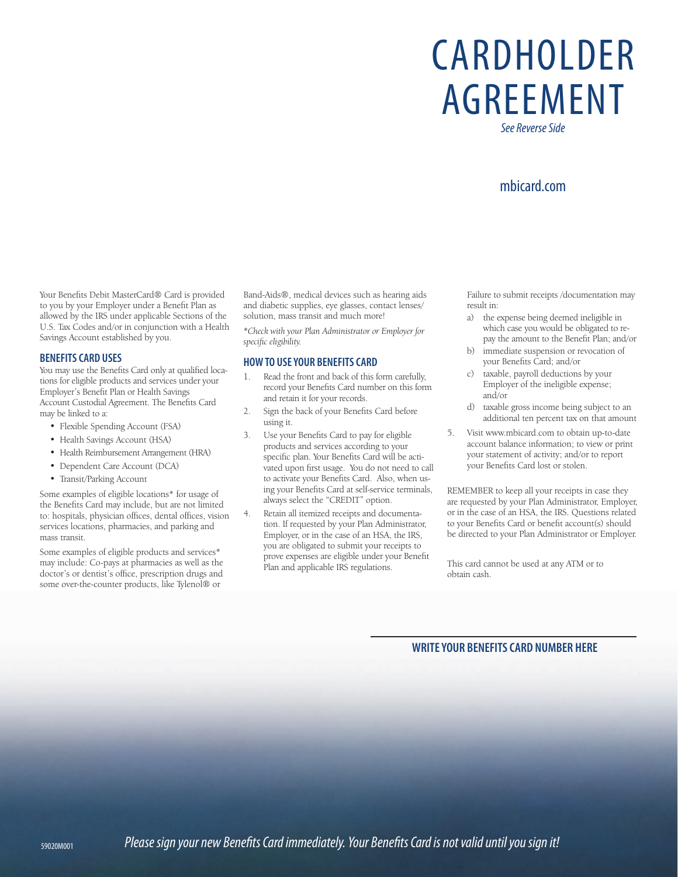# CARDHOLDER AGREEMENT

*See Reverse Side*

## mbicard.com

Your Benefits Debit MasterCard® Card is provided to you by your Employer under a Benefit Plan as allowed by the IRS under applicable Sections of the U.S. Tax Codes and/or in conjunction with a Health Savings Account established by you.

#### **BENEFITS CARD USES**

You may use the Benefits Card only at qualified locations for eligible products and services under your Employer's Benefit Plan or Health Savings Account Custodial Agreement. The Benefits Card may be linked to a:

- Flexible Spending Account (FSA)
- Health Savings Account (HSA)
- Health Reimbursement Arrangement (HRA)
- Dependent Care Account (DCA)
- Transit/Parking Account

Some examples of eligible locations\* for usage of the Benefits Card may include, but are not limited to: hospitals, physician offices, dental offices, vision services locations, pharmacies, and parking and mass transit.

Some examples of eligible products and services\* may include: Co-pays at pharmacies as well as the doctor's or dentist's office, prescription drugs and some over-the-counter products, like Tylenol® or

Band-Aids®, medical devices such as hearing aids and diabetic supplies, eye glasses, contact lenses/ solution, mass transit and much more!

*\*Check with your Plan Administrator or Employer for specific eligibility.*

#### **HOW TO USE YOUR BENEFITS CARD**

- 1. Read the front and back of this form carefully, record your Benefits Card number on this form and retain it for your records.
- 2. Sign the back of your Benefits Card before using it.
- 3. Use your Benefits Card to pay for eligible products and services according to your specific plan. Your Benefits Card will be activated upon first usage. You do not need to call to activate your Benefits Card. Also, when using your Benefits Card at self-service terminals, always select the "CREDIT" option.
- 4. Retain all itemized receipts and documentation. If requested by your Plan Administrator, Employer, or in the case of an HSA, the IRS, you are obligated to submit your receipts to prove expenses are eligible under your Benefit Plan and applicable IRS regulations.

Failure to submit receipts /documentation may result in:

- a) the expense being deemed ineligible in which case you would be obligated to repay the amount to the Benefit Plan; and/or
- b) immediate suspension or revocation of your Benefits Card; and/or
- c) taxable, payroll deductions by your Employer of the ineligible expense; and/or
- d) taxable gross income being subject to an additional ten percent tax on that amount
- 5. Visit www.mbicard.com to obtain up-to-date account balance information; to view or print your statement of activity; and/or to report your Benefits Card lost or stolen.

REMEMBER to keep all your receipts in case they are requested by your Plan Administrator, Employer, or in the case of an HSA, the IRS. Questions related to your Benefits Card or benefit account(s) should be directed to your Plan Administrator or Employer.

This card cannot be used at any ATM or to obtain cash.

### **WRITE YOUR BENEFITS CARD NUMBER HERE**